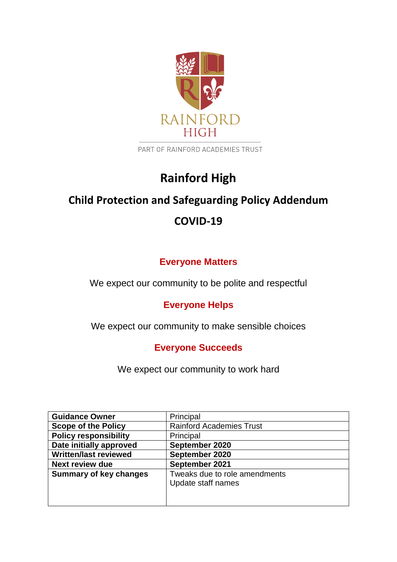

PART OF RAINFORD ACADEMIES TRUST

# **Rainford High**

# **Child Protection and Safeguarding Policy Addendum**

# **COVID-19**

## **Everyone Matters**

We expect our community to be polite and respectful

## **Everyone Helps**

We expect our community to make sensible choices

## **Everyone Succeeds**

We expect our community to work hard

| <b>Guidance Owner</b>         | Principal                       |
|-------------------------------|---------------------------------|
| <b>Scope of the Policy</b>    | <b>Rainford Academies Trust</b> |
| <b>Policy responsibility</b>  | Principal                       |
| Date initially approved       | September 2020                  |
| <b>Written/last reviewed</b>  | September 2020                  |
| <b>Next review due</b>        | September 2021                  |
| <b>Summary of key changes</b> | Tweaks due to role amendments   |
|                               | Update staff names              |
|                               |                                 |
|                               |                                 |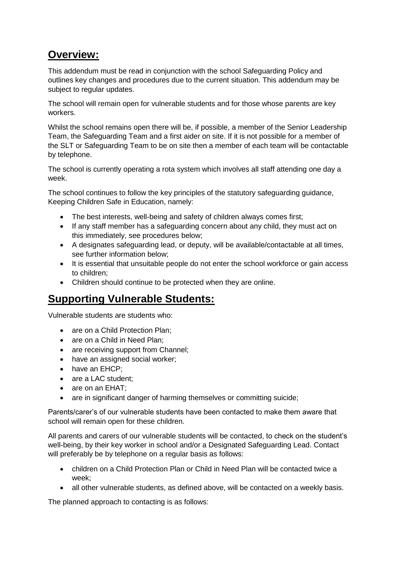# **Overview:**

This addendum must be read in conjunction with the school Safeguarding Policy and outlines key changes and procedures due to the current situation. This addendum may be subject to regular updates.

The school will remain open for vulnerable students and for those whose parents are key workers.

Whilst the school remains open there will be, if possible, a member of the Senior Leadership Team, the Safeguarding Team and a first aider on site. If it is not possible for a member of the SLT or Safeguarding Team to be on site then a member of each team will be contactable by telephone.

The school is currently operating a rota system which involves all staff attending one day a week.

The school continues to follow the key principles of the statutory safeguarding guidance, Keeping Children Safe in Education, namely:

- The best interests, well-being and safety of children always comes first;
- If any staff member has a safeguarding concern about any child, they must act on this immediately, see procedures below;
- A designates safeguarding lead, or deputy, will be available/contactable at all times, see further information below;
- It is essential that unsuitable people do not enter the school workforce or gain access to children;
- Children should continue to be protected when they are online.

# **Supporting Vulnerable Students:**

Vulnerable students are students who:

- are on a Child Protection Plan:
- are on a Child in Need Plan:
- are receiving support from Channel;
- have an assigned social worker;
- have an EHCP:
- are a LAC student:
- are on an EHAT;
- are in significant danger of harming themselves or committing suicide;

Parents/carer's of our vulnerable students have been contacted to make them aware that school will remain open for these children.

All parents and carers of our vulnerable students will be contacted, to check on the student's well-being, by their key worker in school and/or a Designated Safeguarding Lead. Contact will preferably be by telephone on a regular basis as follows:

- children on a Child Protection Plan or Child in Need Plan will be contacted twice a week;
- all other vulnerable students, as defined above, will be contacted on a weekly basis.

The planned approach to contacting is as follows: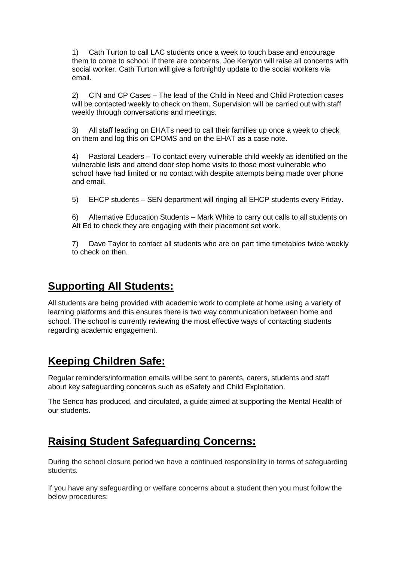1) Cath Turton to call LAC students once a week to touch base and encourage them to come to school. If there are concerns, Joe Kenyon will raise all concerns with social worker. Cath Turton will give a fortnightly update to the social workers via email.

2) CIN and CP Cases – The lead of the Child in Need and Child Protection cases will be contacted weekly to check on them. Supervision will be carried out with staff weekly through conversations and meetings.

3) All staff leading on EHATs need to call their families up once a week to check on them and log this on CPOMS and on the EHAT as a case note.

4) Pastoral Leaders – To contact every vulnerable child weekly as identified on the vulnerable lists and attend door step home visits to those most vulnerable who school have had limited or no contact with despite attempts being made over phone and email.

5) EHCP students – SEN department will ringing all EHCP students every Friday.

6) Alternative Education Students – Mark White to carry out calls to all students on Alt Ed to check they are engaging with their placement set work.

7) Dave Taylor to contact all students who are on part time timetables twice weekly to check on then.

## **Supporting All Students:**

All students are being provided with academic work to complete at home using a variety of learning platforms and this ensures there is two way communication between home and school. The school is currently reviewing the most effective ways of contacting students regarding academic engagement.

# **Keeping Children Safe:**

Regular reminders/information emails will be sent to parents, carers, students and staff about key safeguarding concerns such as eSafety and Child Exploitation.

The Senco has produced, and circulated, a guide aimed at supporting the Mental Health of our students.

# **Raising Student Safeguarding Concerns:**

During the school closure period we have a continued responsibility in terms of safeguarding students.

If you have any safeguarding or welfare concerns about a student then you must follow the below procedures: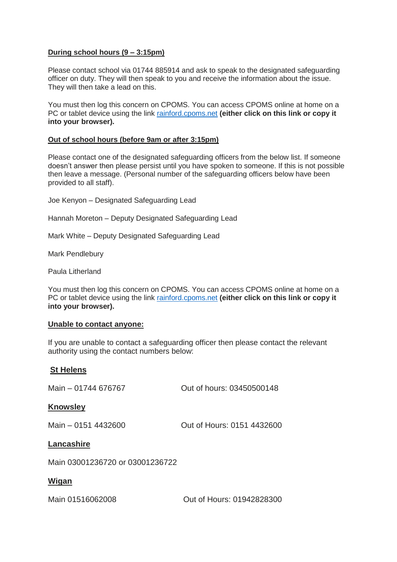#### **During school hours (9 – 3:15pm)**

Please contact school via 01744 885914 and ask to speak to the designated safeguarding officer on duty. They will then speak to you and receive the information about the issue. They will then take a lead on this.

You must then log this concern on CPOMS. You can access CPOMS online at home on a PC or tablet device using the link [rainford.cpoms.net](https://rainford.cpoms.net/auth/identity?origin=https%3A%2F%2Frainford.cpoms.net%2F) **(either click on this link or copy it into your browser).**

#### **Out of school hours (before 9am or after 3:15pm)**

Please contact one of the designated safeguarding officers from the below list. If someone doesn't answer then please persist until you have spoken to someone. If this is not possible then leave a message. (Personal number of the safeguarding officers below have been provided to all staff).

Joe Kenyon – Designated Safeguarding Lead

Hannah Moreton – Deputy Designated Safeguarding Lead

Mark White – Deputy Designated Safeguarding Lead

Mark Pendlebury

Paula Litherland

You must then log this concern on CPOMS. You can access CPOMS online at home on a PC or tablet device using the link [rainford.cpoms.net](https://rainford.cpoms.net/auth/identity?origin=https%3A%2F%2Frainford.cpoms.net%2F) **(either click on this link or copy it into your browser).**

#### **Unable to contact anyone:**

If you are unable to contact a safeguarding officer then please contact the relevant authority using the contact numbers below:

#### **St Helens**

Main – 01744 676767 Out of hours: 03450500148 **Knowsley** Main – 0151 4432600 Out of Hours: 0151 4432600 **Lancashire** Main 03001236720 or 03001236722 **Wigan** 

Main 01516062008 Out of Hours: 01942828300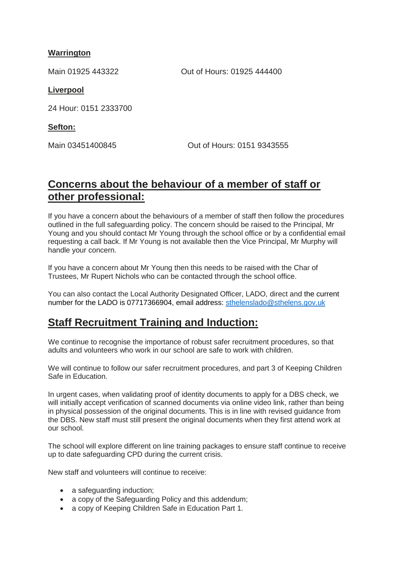#### **Warrington**

Main 01925 443322 Out of Hours: 01925 444400

#### **Liverpool**

24 Hour: 0151 2333700

#### **Sefton:**

Main 03451400845 Out of Hours: 0151 9343555

# **Concerns about the behaviour of a member of staff or other professional:**

If you have a concern about the behaviours of a member of staff then follow the procedures outlined in the full safeguarding policy. The concern should be raised to the Principal, Mr Young and you should contact Mr Young through the school office or by a confidential email requesting a call back. If Mr Young is not available then the Vice Principal, Mr Murphy will handle your concern.

If you have a concern about Mr Young then this needs to be raised with the Char of Trustees, Mr Rupert Nichols who can be contacted through the school office.

You can also contact the Local Authority Designated Officer, LADO, direct and the current number for the LADO is 07717366904, email address: [sthelenslado@sthelens.gov.uk](mailto:sthelenslado@sthelens.gov.uk)

## **Staff Recruitment Training and Induction:**

We continue to recognise the importance of robust safer recruitment procedures, so that adults and volunteers who work in our school are safe to work with children.

We will continue to follow our safer recruitment procedures, and part 3 of Keeping Children Safe in Education.

In urgent cases, when validating proof of identity documents to apply for a DBS check, we will initially accept verification of scanned documents via online video link, rather than being in physical possession of the original documents. This is in line with revised guidance from the DBS. New staff must still present the original documents when they first attend work at our school.

The school will explore different on line training packages to ensure staff continue to receive up to date safeguarding CPD during the current crisis.

New staff and volunteers will continue to receive:

- a safeguarding induction;
- a copy of the Safeguarding Policy and this addendum;
- a copy of Keeping Children Safe in Education Part 1.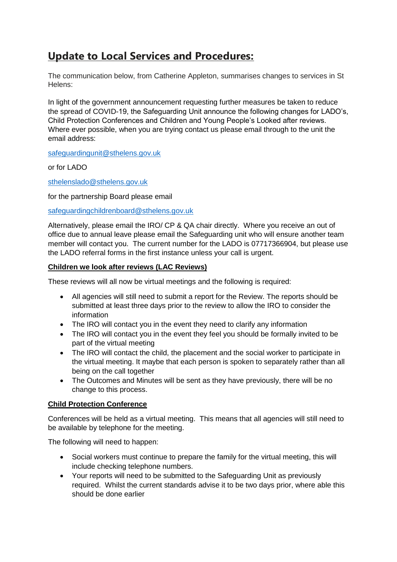# **Update to Local Services and Procedures:**

The communication below, from Catherine Appleton, summarises changes to services in St Helens:

In light of the government announcement requesting further measures be taken to reduce the spread of COVID-19, the Safeguarding Unit announce the following changes for LADO's, Child Protection Conferences and Children and Young People's Looked after reviews. Where ever possible, when you are trying contact us please email through to the unit the email address:

[safeguardingunit@sthelens.gov.uk](mailto:safeguardingunit@sthelens.gov.uk) 

or for LADO

[sthelenslado@sthelens.gov.uk](mailto:sthelenslado@sthelens.gov.uk)

for the partnership Board please email

[safeguardingchildrenboard@sthelens.gov.uk](mailto:safeguardingchildrenboard@sthelens.gov.uk)

Alternatively, please email the IRO/ CP & QA chair directly. Where you receive an out of office due to annual leave please email the Safeguarding unit who will ensure another team member will contact you. The current number for the LADO is 07717366904, but please use the LADO referral forms in the first instance unless your call is urgent.

#### **Children we look after reviews (LAC Reviews)**

These reviews will all now be virtual meetings and the following is required:

- All agencies will still need to submit a report for the Review. The reports should be submitted at least three days prior to the review to allow the IRO to consider the information
- The IRO will contact you in the event they need to clarify any information
- The IRO will contact you in the event they feel you should be formally invited to be part of the virtual meeting
- The IRO will contact the child, the placement and the social worker to participate in the virtual meeting. It maybe that each person is spoken to separately rather than all being on the call together
- The Outcomes and Minutes will be sent as they have previously, there will be no change to this process.

#### **Child Protection Conference**

Conferences will be held as a virtual meeting. This means that all agencies will still need to be available by telephone for the meeting.

The following will need to happen:

- Social workers must continue to prepare the family for the virtual meeting, this will include checking telephone numbers.
- Your reports will need to be submitted to the Safeguarding Unit as previously required. Whilst the current standards advise it to be two days prior, where able this should be done earlier